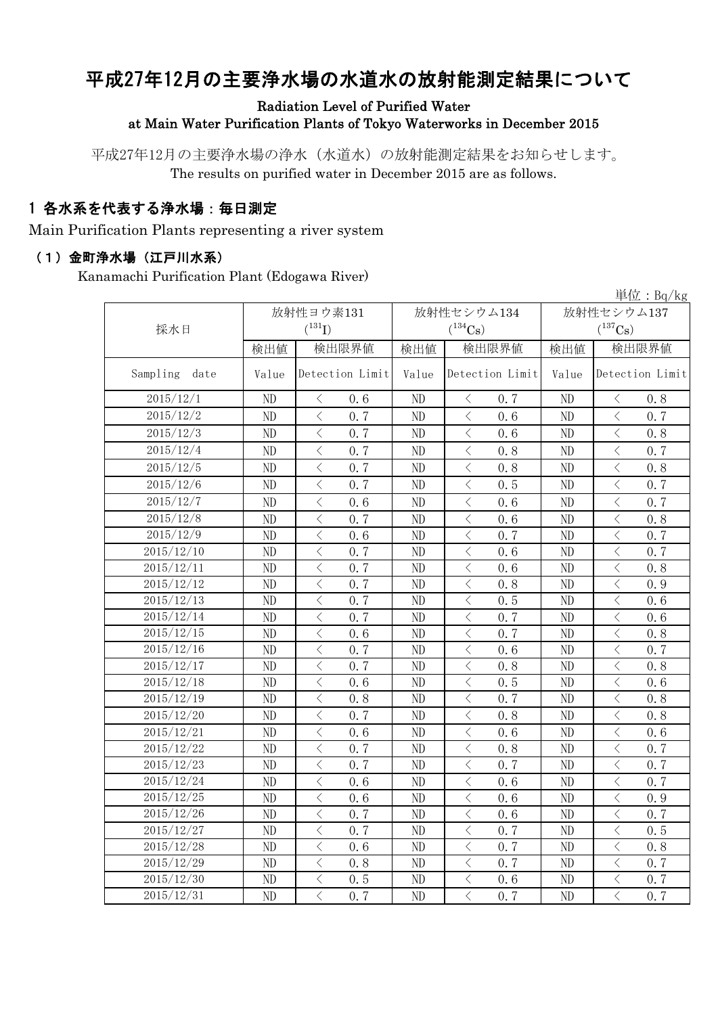# 平成27年12月の主要浄水場の水道水の放射能測定結果について

Radiation Level of Purified Water

at Main Water Purification Plants of Tokyo Waterworks in December 2015

平成27年12月の主要浄水場の浄水(水道水)の放射能測定結果をお知らせします。 The results on purified water in December 2015 are as follows.

### 1 各水系を代表する浄水場:毎日測定

Main Purification Plants representing a river system

#### (1)金町浄水場(江戸川水系)

Kanamachi Purification Plant (Edogawa River)

|                  |                |                                                 |       |                                                                                                                                                                                     |                       | 単位: $Bq/kg$                                     |  |
|------------------|----------------|-------------------------------------------------|-------|-------------------------------------------------------------------------------------------------------------------------------------------------------------------------------------|-----------------------|-------------------------------------------------|--|
|                  |                | 放射性ヨウ素131                                       |       | 放射性セシウム134                                                                                                                                                                          | 放射性セシウム137            |                                                 |  |
| 採水日              |                | $(^{131}I)$                                     |       | $(^{134}Cs)$                                                                                                                                                                        | $(^{137}\mathrm{Cs})$ |                                                 |  |
|                  | 検出値            | 検出限界値                                           | 検出値   | 検出限界値                                                                                                                                                                               | 検出値                   | 検出限界値                                           |  |
| Sampling<br>date | Value          | Detection Limit                                 | Value | Detection Limit                                                                                                                                                                     | Value                 | Detection Limit                                 |  |
| 2015/12/1        | ND             | 0.6<br>$\lt$                                    | ND    | 0.7<br>$\lt$                                                                                                                                                                        | ND                    | 0.8<br>$\lt$                                    |  |
| 2015/12/2        | ND             | $\,$ $\,$ $\,$<br>0.7                           | ND    | 0.6<br>$\lt$                                                                                                                                                                        | ND                    | $\, <\,$<br>0.7                                 |  |
| 2015/12/3        | ND             | $\overline{\left\langle \right\rangle }$<br>0.7 | ND    | $\overline{\left\langle \right\rangle }$<br>0.6                                                                                                                                     | ND                    | $\overline{\left\langle \right\rangle }$<br>0.8 |  |
| 2015/12/4        | ND             | $\langle$<br>0.7                                | ND    | $\lt$<br>0.8                                                                                                                                                                        | ND                    | $\,$ $\,$ $\,$<br>0.7                           |  |
| 2015/12/5        | ND             | $\overline{\left\langle \right\rangle }$<br>0.7 | ND    | $\langle$<br>0.8                                                                                                                                                                    | ND                    | $\overline{\left\langle \right\rangle }$<br>0.8 |  |
| 2015/12/6        | ND             | $\overline{\left\langle \right\rangle }$<br>0.7 | ND    | $\langle$<br>0.5                                                                                                                                                                    | ND                    | $\langle$<br>0.7                                |  |
| 2015/12/7        | ND             | $\overline{\left\langle \right. }%$<br>0.6      | ND    | $\langle$<br>0.6                                                                                                                                                                    | ND                    | $\,$ $\,$ $\,$<br>0.7                           |  |
| 2015/12/8        | ND             | $\overline{\left\langle \right\rangle }$<br>0.7 | ND    | $\overline{\left\langle \right. }% ,\left\langle \overline{\left\langle \right. }% ,\left\langle \overline{\left\langle \right. }\right\rangle \right\rangle \left. \right.$<br>0.6 | ND                    | $\langle$<br>0.8                                |  |
| 2015/12/9        | $\rm ND$       | $\overline{\left\langle \right\rangle }$<br>0.6 | ND    | $\overline{\left\langle \right\rangle }$<br>0.7                                                                                                                                     | ND                    | $\langle$<br>0.7                                |  |
| 2015/12/10       | ND             | $\langle$<br>0.7                                | ND    | $\langle$<br>0.6                                                                                                                                                                    | ND                    | $\lt$<br>0.7                                    |  |
| 2015/12/11       | ND             | $\langle$<br>0.7                                | ND    | $\langle$<br>0.6                                                                                                                                                                    | ND                    | $\lt$<br>0.8                                    |  |
| 2015/12/12       | $\rm ND$       | $\langle$<br>0.7                                | ND    | $\langle$<br>0.8                                                                                                                                                                    | ND                    | $\lt$<br>0.9                                    |  |
| 2015/12/13       | $\rm ND$       | $\langle$<br>0.7                                | ND    | $\langle$<br>0.5                                                                                                                                                                    | ND                    | $\,$ $\,$ $\,$<br>0.6                           |  |
| 2015/12/14       | ND             | $\lt$<br>0.7                                    | ND    | $\lt$<br>0.7                                                                                                                                                                        | ND                    | $\lt$<br>0.6                                    |  |
| 2015/12/15       | ND             | $\overline{\left\langle \right\rangle }$<br>0.6 | ND    | $\langle$<br>0.7                                                                                                                                                                    | ND                    | $\lt$<br>0.8                                    |  |
| 2015/12/16       | ND             | $\lt$<br>0.7                                    | ND    | $\lt$<br>0.6                                                                                                                                                                        | ND                    | $\lt$<br>0.7                                    |  |
| 2015/12/17       | ND             | $\overline{\left\langle \right\rangle }$<br>0.7 | ND    | $\langle$<br>0.8                                                                                                                                                                    | ND                    | $\langle$<br>0.8                                |  |
| 2015/12/18       | ND             | $\lt$<br>0.6                                    | ND    | $\lt$<br>0.5                                                                                                                                                                        | ND                    | $\lt$<br>0.6                                    |  |
| 2015/12/19       | ND             | $\langle$<br>0.8                                | ND    | $\,$ $\,$ $\,$<br>0.7                                                                                                                                                               | ND                    | $\langle$<br>0.8                                |  |
| 2015/12/20       | ND             | $\overline{\left\langle \right\rangle }$<br>0.7 | ND    | $\langle$<br>0.8                                                                                                                                                                    | ND                    | $\overline{\left\langle \right\rangle }$<br>0.8 |  |
| 2015/12/21       | ND             | $\overline{\left\langle \right\rangle }$<br>0.6 | ND    | $\langle$<br>0.6                                                                                                                                                                    | ND                    | $\lt$<br>0.6                                    |  |
| 2015/12/22       | ND             | $\lt$<br>0.7                                    | ND    | $\lt$<br>0.8                                                                                                                                                                        | ND                    | $\lt$<br>0.7                                    |  |
| 2015/12/23       | ND             | $\overline{\left\langle \right\rangle }$<br>0.7 | ND    | $\overline{\left\langle \right\rangle }$<br>0.7                                                                                                                                     | ND                    | $\langle$<br>0.7                                |  |
| 2015/12/24       | ND             | $\lt$<br>0.6                                    | ND    | $\lt$<br>0.6                                                                                                                                                                        | ND                    | $\lt$<br>0.7                                    |  |
| 2015/12/25       | ND             | $\langle$<br>0.6                                | ND    | $\,$ $\,$ $\,$<br>0.6                                                                                                                                                               | ND                    | $\langle$<br>0.9                                |  |
| 2015/12/26       | ND             | $\overline{\left\langle \right\rangle }$<br>0.7 | ND    | $\overline{\left\langle \right\rangle }$<br>0.6                                                                                                                                     | ND                    | $\overline{\left\langle \right\rangle }$<br>0.7 |  |
| 2015/12/27       | ND             | $\overline{\left\langle \right\rangle }$<br>0.7 | ND    | $\langle$<br>0.7                                                                                                                                                                    | ND                    | $\langle$<br>0.5                                |  |
| 2015/12/28       | ND             | $\langle$<br>0.6                                | ND    | $\lt$<br>0.7                                                                                                                                                                        | ND                    | $\,$ $\,$ $\,$<br>0.8                           |  |
| 2015/12/29       | ND             | $\overline{\left\langle \right\rangle }$<br>0.8 | ND    | $\overline{\left\langle \right\rangle }$<br>0.7                                                                                                                                     | ND                    | $\overline{\left\langle \right\rangle }$<br>0.7 |  |
| 2015/12/30       | N <sub>D</sub> | $\langle$<br>0.5                                | ND    | $\langle$<br>0.6                                                                                                                                                                    | ND                    | $\,$ $\,$ $\,$<br>0.7                           |  |
| 2015/12/31       | ND             | $\overline{\left\langle \right\rangle }$<br>0.7 | ND    | $\langle$<br>0.7                                                                                                                                                                    | ND                    | $\langle$<br>0.7                                |  |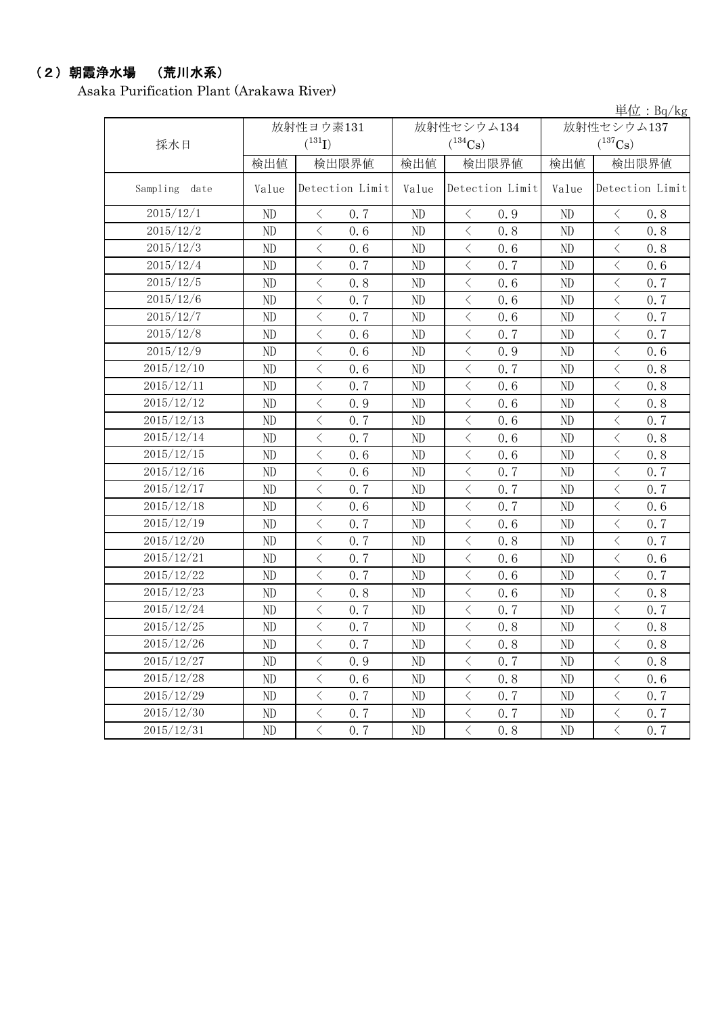### (2)朝霞浄水場 (荒川水系)

Asaka Purification Plant (Arakawa River)

|                  |       |                                                  |          |                                    |            | 単位: Bq/kg                                       |  |
|------------------|-------|--------------------------------------------------|----------|------------------------------------|------------|-------------------------------------------------|--|
|                  |       | 放射性ヨウ素131                                        |          | 放射性セシウム134                         | 放射性セシウム137 |                                                 |  |
| 採水日              |       | $(^{131}I)$                                      |          | $(^{134}Cs)$                       |            | $(^{137}\mathrm{Cs})$                           |  |
|                  | 検出値   | 検出限界値                                            | 検出値      | 検出限界値                              | 検出値        | 検出限界値                                           |  |
| Sampling<br>date | Value | Detection Limit                                  | Value    | Detection Limit                    | Value      | Detection Limit                                 |  |
| 2015/12/1        | ND    | 0.7<br>$\lt$                                     | ND       | 0.9<br>$\langle$                   | ND         | 0, 8<br>$\langle$                               |  |
| 2015/12/2        | ND    | $\langle$<br>0.6                                 | ND       | $\langle$<br>0.8                   | ND         | $\langle$<br>0.8                                |  |
| 2015/12/3        | ND    | $\langle$<br>0.6                                 | ND       | $\lt$<br>0.6                       | ND         | $\lt$<br>0.8                                    |  |
| 2015/12/4        | ND    | $\lt$<br>0.7                                     | ND       | $\lt$<br>0.7                       | ND         | $\langle$<br>0.6                                |  |
| 2015/12/5        | ND    | $\lt$<br>0.8                                     | ND       | $\, \big\langle \,$<br>0.6         | ND         | $\lt$<br>0.7                                    |  |
| 2015/12/6        | ND    | $\langle$<br>0.7                                 | ND       | $\,$ $\,$ $\,$<br>0.6              | ND         | $\langle$<br>0.7                                |  |
| 2015/12/7        | ND    | $\langle$<br>0.7                                 | ND       | $\langle$<br>0.6                   | ND         | $\langle$<br>0.7                                |  |
| 2015/12/8        | ND    | $\langle$<br>0.6                                 | ND       | $\lt$<br>0.7                       | ND         | $\lt$<br>0.7                                    |  |
| 2015/12/9        | ND    | $\lt$<br>0.6                                     | ND       | $\hspace{0.5cm}\big\langle$<br>0.9 | ND         | $\lt$<br>0.6                                    |  |
| 2015/12/10       | ND    | $\lt$<br>0.6                                     | ND       | $\hspace{0.1cm}\big\langle$<br>0.7 | ND         | $\langle$<br>0.8                                |  |
| 2015/12/11       | ND    | $\langle$<br>0.7                                 | $\rm ND$ | $\langle$<br>0.6                   | ND         | $\langle$<br>0.8                                |  |
| 2015/12/12       | ND    | $\langle$<br>0.9                                 | ND       | $\,$ $\,$ $\,$<br>0.6              | ND         | $\langle$<br>0.8                                |  |
| 2015/12/13       | ND    | $\, < \,$<br>0.7                                 | ND       | $\hspace{0.5cm}\big\langle$<br>0.6 | ND         | $\lt$<br>0.7                                    |  |
| 2015/12/14       | ND    | $\langle$<br>0.7                                 | ND       | $\,$ $\,$ $\,$<br>0.6              | ND         | $\langle$<br>0.8                                |  |
| 2015/12/15       | ND    | $\langle$<br>0.6                                 | $\rm ND$ | $\langle$<br>0.6                   | ND         | $\langle$<br>0.8                                |  |
| 2015/12/16       | ND    | $\langle$<br>0.6                                 | ND       | $\lt$<br>0.7                       | ND         | $\langle$<br>0.7                                |  |
| 2015/12/17       | ND    | $\lt$<br>0.7                                     | ND       | 0.7<br>$\lt$                       | ND         | $\langle$<br>0.7                                |  |
| 2015/12/18       | ND    | $\langle$<br>0.6                                 | ND       | $\, <\,$<br>0.7                    | ND         | $\, <\,$<br>0.6                                 |  |
| 2015/12/19       | ND    | $\langle$<br>0.7                                 | ND       | $\langle$<br>0.6                   | ND         | $\langle$<br>0.7                                |  |
| 2015/12/20       | ND    | $\langle$<br>0.7                                 | ND       | $\langle$<br>0.8                   | ND         | $\langle$<br>0.7                                |  |
| 2015/12/21       | ND    | $\lt$<br>0.7                                     | ND       | $\, < \,$<br>0.6                   | ND         | $\lt$<br>0.6                                    |  |
| 2015/12/22       | ND    | $\lt$<br>0.7                                     | ND       | $\lt$<br>0.6                       | ND         | 0.7<br>$\lt$                                    |  |
| 2015/12/23       | ND    | $\langle$<br>0.8                                 | ND       | $\langle$<br>0.6                   | ND         | $\langle$<br>0.8                                |  |
| 2015/12/24       | ND    | $\langle$<br>0.7                                 | ND       | $\lt$<br>0.7                       | ND         | $\lt$<br>0.7                                    |  |
| 2015/12/25       | ND    | $\overline{\left\langle \right\rangle }$<br>0.7  | ND       | $\,$ $\,$ $\,$<br>0.8              | ND         | $\langle$<br>0.8                                |  |
| 2015/12/26       | ND    | $\lt$<br>0, 7                                    | ND       | $\langle$<br>0, 8                  | ND.        | $\langle$<br>0.8                                |  |
| 2015/12/27       | ND    | $\langle$<br>0.9                                 | ND       | $\langle$<br>0.7                   | ND         | $\overline{\left\langle \right\rangle }$<br>0.8 |  |
| 2015/12/28       | ND    | $\hspace{0.1mm}\big\langle$<br>0.6               | ND       | $\langle$<br>0.8                   | ND         | $\langle$<br>0.6                                |  |
| 2015/12/29       | ND    | $\langle$<br>0.7                                 | ND       | $\lt$<br>0.7                       | ND         | $\langle$<br>0, 7                               |  |
| 2015/12/30       | ND    | $\, \big\langle \,$<br>0.7                       | ND       | $\, \big\langle \,$<br>0.7         | $\rm ND$   | $\langle$<br>0.7                                |  |
| 2015/12/31       | ND    | $\overline{\left\langle \right\rangle }$<br>0, 7 | $\rm ND$ | $\langle$<br>0.8                   | ND         | $\langle$<br>0, 7                               |  |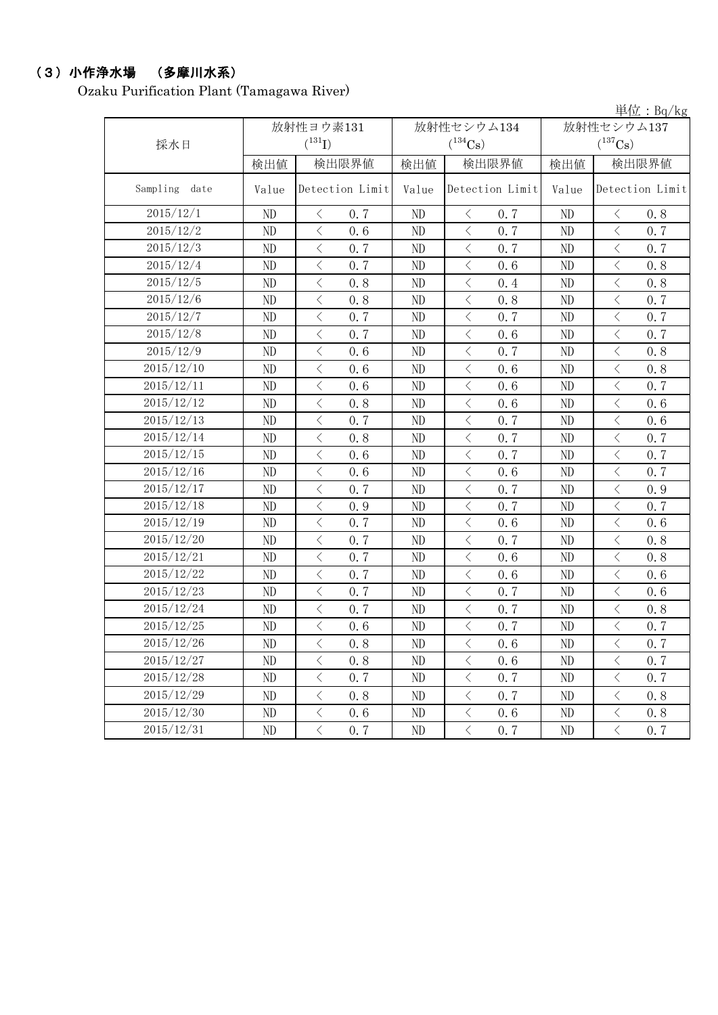# (3)小作浄水場 (多摩川水系)

Ozaku Purification Plant (Tamagawa River)

|                  |          |                                                 |          |                                                 |            | $\frac{\cancel{\text{H}}}{\cancel{\text{L}}}$ : Bq/kg |  |
|------------------|----------|-------------------------------------------------|----------|-------------------------------------------------|------------|-------------------------------------------------------|--|
|                  |          | 放射性ヨウ素131                                       |          | 放射性セシウム134                                      | 放射性セシウム137 |                                                       |  |
| 採水日              |          | $(^{131}I)$                                     |          | $(^{134}Cs)$                                    |            | $(^{137}Cs)$                                          |  |
|                  | 検出値      | 検出限界値                                           | 検出値      | 検出限界値                                           | 検出値        | 検出限界値                                                 |  |
| Sampling<br>date | Value    | Detection Limit                                 | Value    | Detection Limit                                 | Value      | Detection Limit                                       |  |
| 2015/12/1        | ND       | 0.7<br>$\langle$                                | ND       | 0.7<br>$\langle$                                | ND         | 0.8<br>$\lt$                                          |  |
| 2015/12/2        | ND       | $\langle$<br>0.6                                | ND       | $\langle$<br>0.7                                | ND         | $\langle$<br>0.7                                      |  |
| 2015/12/3        | ND       | $\lt$<br>0.7                                    | ND       | $\lt$<br>0.7                                    | ND         | $\lt$<br>0.7                                          |  |
| 2015/12/4        | ND       | $\overline{\left\langle \right\rangle }$<br>0.7 | ND       | $\hspace{0.1mm} <\hspace{0.1mm}$<br>0.6         | ND         | $\langle$<br>0.8                                      |  |
| 2015/12/5        | ND       | $\langle$<br>0.8                                | ND       | $\langle$<br>0.4                                | ND         | $\langle$<br>0.8                                      |  |
| 2015/12/6        | ND       | $\langle$<br>0.8                                | ND       | $\,$ $\,$ $\,$<br>0.8                           | ND         | $\lt$<br>0.7                                          |  |
| 2015/12/7        | ND       | $\langle$<br>0.7                                | ND       | $\hspace{0.1mm} <\hspace{0.1mm}$<br>0.7         | ND         | $\,$ $\,$ $\,$<br>0.7                                 |  |
| 2015/12/8        | ND       | $\lt$<br>0.7                                    | ND       | $\hspace{0.5cm}\big\langle$<br>0.6              | ND         | $\lt$<br>0.7                                          |  |
| 2015/12/9        | ND       | $\langle$<br>0.6                                | ND       | $\langle$<br>0.7                                | ND         | $\langle$<br>0.8                                      |  |
| 2015/12/10       | ND       | $\langle$<br>0.6                                | ND       | $\langle$<br>0.6                                | ND         | $\langle$<br>0.8                                      |  |
| 2015/12/11       | ND       | $\lt$<br>0.6                                    | ND       | $\lt$<br>0.6                                    | ND         | $\lt$<br>0.7                                          |  |
| 2015/12/12       | ND       | $\langle$<br>0.8                                | ND       | $\,$ $\,$ $\,$<br>0.6                           | ND         | $\lt$<br>0.6                                          |  |
| 2015/12/13       | ND       | $\overline{\left\langle \right\rangle }$<br>0.7 | ND       | $\langle$<br>0.7                                | ND         | $\overline{\left\langle \right\rangle }$<br>0.6       |  |
| 2015/12/14       | ND       | $\langle$<br>0.8                                | ND       | $\,$ $\,$ $\,$<br>0.7                           | ND         | $\lt$<br>0.7                                          |  |
| 2015/12/15       | ND       | $\langle$<br>0.6                                | ND       | $\,$ $\,$ $\,$<br>0.7                           | ND         | $\langle$<br>0.7                                      |  |
| 2015/12/16       | ND       | $\lt$<br>0.6                                    | ND       | $\, < \,$<br>0.6                                | ND         | $\lt$<br>0.7                                          |  |
| 2015/12/17       | ND       | $\langle$<br>0.7                                | ND       | $\langle$<br>0.7                                | ND         | $\langle$<br>0.9                                      |  |
| 2015/12/18       | ND       | $\langle$<br>0.9                                | ND       | $\langle$<br>0.7                                | ND         | $\langle$<br>0.7                                      |  |
| 2015/12/19       | ND       | $\lt$<br>0.7                                    | ND       | $\, < \,$<br>0.6                                | ND         | $\lt$<br>0.6                                          |  |
| 2015/12/20       | ND       | $\,$ $\,$ $\,$<br>0.7                           | ND       | $\hspace{0.1mm} <\hspace{0.1mm}$<br>0.7         | ND         | $\,$ $\,$ $\,$<br>0.8                                 |  |
| 2015/12/21       | ND       | $\,$ $\,$ $\,$<br>0.7                           | ND       | $\langle$<br>0.6                                | ND         | $\langle$<br>0.8                                      |  |
| 2015/12/22       | ND       | $\langle$<br>0.7                                | ND       | $\lt$<br>0.6                                    | ND         | $\langle$<br>0.6                                      |  |
| 2015/12/23       | ND       | $\,$ $\,$ $\,$<br>0.7                           | ND       | $\hspace{0.1mm} <\hspace{0.1mm}$<br>0.7         | ND         | $\lt$<br>0.6                                          |  |
| 2015/12/24       | ND       | $\,$ $\,$ $\,$<br>0.7                           | ND       | $\hspace{0.1cm}\big\langle$<br>0.7              | ND         | $\lt$<br>0.8                                          |  |
| 2015/12/25       | ND       | $\langle$<br>0.6                                | ND       | $\langle$<br>0.7                                | ND         | $\langle$<br>0.7                                      |  |
| 2015/12/26       | $\rm ND$ | $\bigg\langle$<br>0.8                           | $\rm ND$ | $\overline{\left\langle \right\rangle }$<br>0.6 | $\rm ND$   | $\, <\,$<br>0.7                                       |  |
| 2015/12/27       | ND       | $\langle$<br>0.8                                | ND       | $\,$ $\,$ $\,$<br>0.6                           | ND         | $\langle$<br>0.7                                      |  |
| 2015/12/28       | $\rm ND$ | $\langle$<br>0.7                                | $\rm ND$ | $\langle$<br>0.7                                | ND         | $\, \big\langle \,$<br>0.7                            |  |
| 2015/12/29       | ND       | $\langle$<br>0.8                                | $\rm ND$ | $\langle$<br>0.7                                | ND         | $\langle$<br>0.8                                      |  |
| 2015/12/30       | ND       | $\langle$<br>0.6                                | ND       | $\langle$<br>0.6                                | ND         | $\langle$<br>0.8                                      |  |
| 2015/12/31       | ND       | $\langle$<br>0.7                                | $\rm ND$ | $\langle$<br>0.7                                | ND         | $\langle$<br>0, 7                                     |  |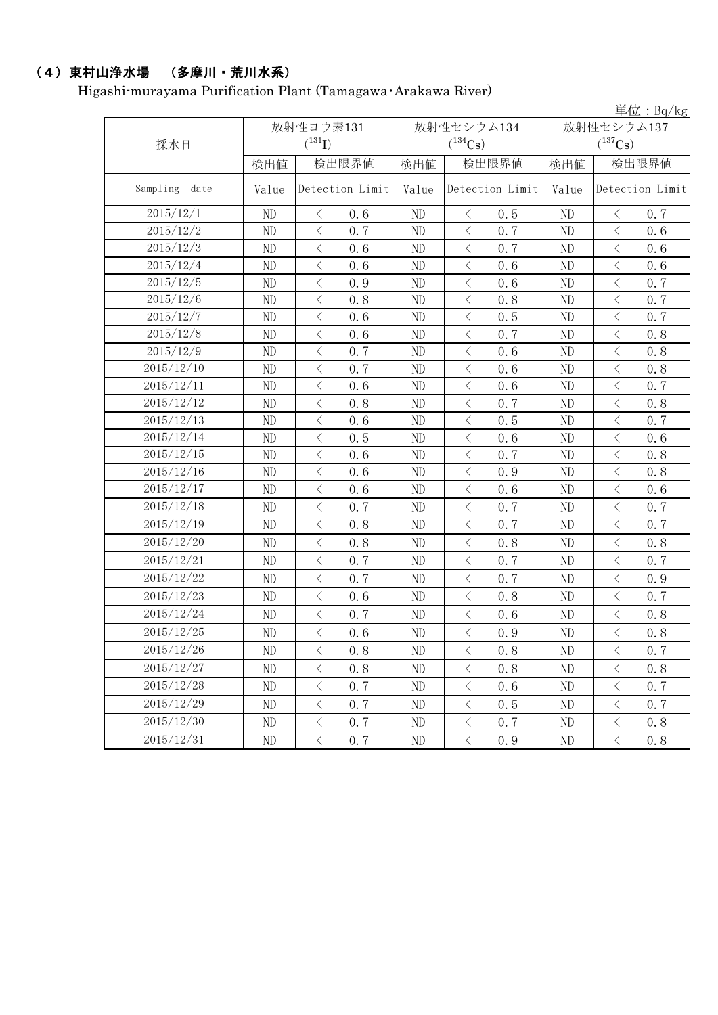# (4)東村山浄水場 (多摩川・荒川水系)

Higashi-murayama Purification Plant (Tamagawa・Arakawa River)

|                  |       |                      |          |                                                                                                               |            | 単位: $Bq/kg$                                     |  |
|------------------|-------|----------------------|----------|---------------------------------------------------------------------------------------------------------------|------------|-------------------------------------------------|--|
|                  |       | 放射性ヨウ素131            |          | 放射性セシウム134                                                                                                    | 放射性セシウム137 |                                                 |  |
| 採水日              |       | $(^{131}I)$          |          | $(^{134}\mathrm{Cs})$                                                                                         |            | $(^{137}\mathrm{Cs})$                           |  |
|                  | 検出値   | 検出限界値                | 検出値      | 検出限界値                                                                                                         | 検出値        | 検出限界値                                           |  |
| Sampling<br>date | Value | Detection Limit      | Value    | Detection Limit                                                                                               | Value      | Detection Limit                                 |  |
| 2015/12/1        | ND    | $\langle$<br>0.6     | ND       | 0.5<br>$\langle$                                                                                              | ND         | $\langle$<br>0.7                                |  |
| 2015/12/2        | ND    | $\langle$<br>0.7     | ND       | $\, \big\langle \,$<br>0.7                                                                                    | ND         | $\lt$<br>0.6                                    |  |
| 2015/12/3        | ND    | $\langle$<br>0.6     | ND       | $\,$ $\,$ $\,$<br>0.7                                                                                         | ND         | $\,$ $\,$ $\,$<br>0.6                           |  |
| 2015/12/4        | ND    | $\langle$<br>0.6     | ND       | $\langle$<br>0.6                                                                                              | ND         | $\langle$<br>0.6                                |  |
| 2015/12/5        | ND    | $\langle$<br>0.9     | ND       | $\langle$<br>0.6                                                                                              | ND         | $\lt$<br>0.7                                    |  |
| 2015/12/6        | ND    | $\langle$<br>0.8     | ND       | $\langle$<br>0.8                                                                                              | ND         | $\,$ $\,$ $\,$<br>0.7                           |  |
| 2015/12/7        | ND    | $\langle$<br>0.6     | ND       | $\hspace{0.1mm}\mathopen{\begin{array}{c}\mathopen{\fbox{$\scriptstyle<\}}\end{array}}\hspace{-0.1mm}$<br>0.5 | ND         | $\, <\,$<br>0.7                                 |  |
| 2015/12/8        | ND    | $\langle$<br>0.6     | ND       | $\langle$<br>0.7                                                                                              | ND         | $\langle$<br>0.8                                |  |
| 2015/12/9        | ND    | $\langle$<br>0.7     | $\rm ND$ | $\langle$<br>0.6                                                                                              | ND         | $\langle$<br>0.8                                |  |
| 2015/12/10       | ND    | $\langle$<br>0.7     | ND       | $\langle$<br>0.6                                                                                              | ND         | $\lt$<br>0.8                                    |  |
| 2015/12/11       | ND    | $\langle$<br>0.6     | ND       | $\,$ $\,$ $\,$<br>0.6                                                                                         | ND         | $\,$ $\,$ $\,$<br>0.7                           |  |
| 2015/12/12       | ND    | $\langle$<br>0.8     | ND       | $\,$ $\,$ $\,$<br>0.7                                                                                         | ND         | $\overline{\left\langle \right\rangle }$<br>0.8 |  |
| 2015/12/13       | ND    | $\langle$<br>0.6     | ND       | $\langle$<br>0.5                                                                                              | ND         | $\lt$<br>0.7                                    |  |
| 2015/12/14       | ND    | $\langle$<br>0.5     | ND       | $\,$ $\,$ $\,$<br>0.6                                                                                         | ND         | $\langle$<br>0.6                                |  |
| 2015/12/15       | ND    | $\langle$<br>0.6     | ND       | $\, < \,$<br>0.7                                                                                              | ND         | $\lt$<br>0.8                                    |  |
| 2015/12/16       | ND    | $\langle$<br>0.6     | ND       | $\langle$<br>0.9                                                                                              | ND         | $\langle$<br>0.8                                |  |
| 2015/12/17       | ND    | $\langle$<br>0.6     | ND       | $\big\langle$<br>0.6                                                                                          | ND         | $\langle$<br>0.6                                |  |
| 2015/12/18       | ND    | $\langle$<br>0.7     | ND       | $\langle$<br>0.7                                                                                              | ND         | $\langle$<br>0.7                                |  |
| 2015/12/19       | ND    | $\langle$<br>0.8     | ND       | $\langle$<br>0.7                                                                                              | ND         | $\langle$<br>0.7                                |  |
| 2015/12/20       | ND    | $\langle$<br>0.8     | ND       | $\langle$<br>0.8                                                                                              | ND         | $\langle$<br>0.8                                |  |
| 2015/12/21       | ND    | $\langle$<br>0.7     | ND       | $\langle$<br>0.7                                                                                              | ND         | $\langle$<br>0.7                                |  |
| 2015/12/22       | ND    | $\langle$<br>0.7     | ND       | $\,$ $\,$ $\,$<br>0.7                                                                                         | ND         | $\lt$<br>0.9                                    |  |
| 2015/12/23       | ND    | $\langle$<br>0.6     | ND       | $\,$ $\,$ $\,$<br>0.8                                                                                         | ND         | $\lt$<br>0.7                                    |  |
| 2015/12/24       | ND    | $\langle$<br>0.7     | ND       | $\langle$<br>0.6                                                                                              | ND         | $\lt$<br>0.8                                    |  |
| 2015/12/25       | ND    | $\langle$<br>0.6     | ND       | $\langle$<br>0.9                                                                                              | ND         | $\,$ $\,$ $\,$<br>0.8                           |  |
| 2015/12/26       | ND    | $\langle$<br>0.8     | ND       | $\langle$<br>0.8                                                                                              | ND         | 0.7<br>$\lt$                                    |  |
| 2015/12/27       | ND    | $\langle$<br>0.8     | ND       | $\big\langle$<br>0.8                                                                                          | ND         | $\langle$<br>0.8                                |  |
| 2015/12/28       | ND    | $\big\langle$<br>0.7 | ND       | $\, \big\langle \,$<br>0.6                                                                                    | ND         | $\lt$<br>0.7                                    |  |
| 2015/12/29       | ND    | $\langle$<br>0.7     | $\rm ND$ | $\, \big\langle \,$<br>0.5                                                                                    | $\rm ND$   | $\, <\,$<br>0.7                                 |  |
| 2015/12/30       | ND    | $\langle$<br>0, 7    | ND       | $\, \leq$<br>0.7                                                                                              | ND         | $\lt$<br>0.8                                    |  |
| 2015/12/31       | ND    | $\langle$<br>0.7     | ND       | $\bigg\langle$<br>0.9                                                                                         | ND         | $\langle$<br>0.8                                |  |
|                  |       |                      |          |                                                                                                               |            |                                                 |  |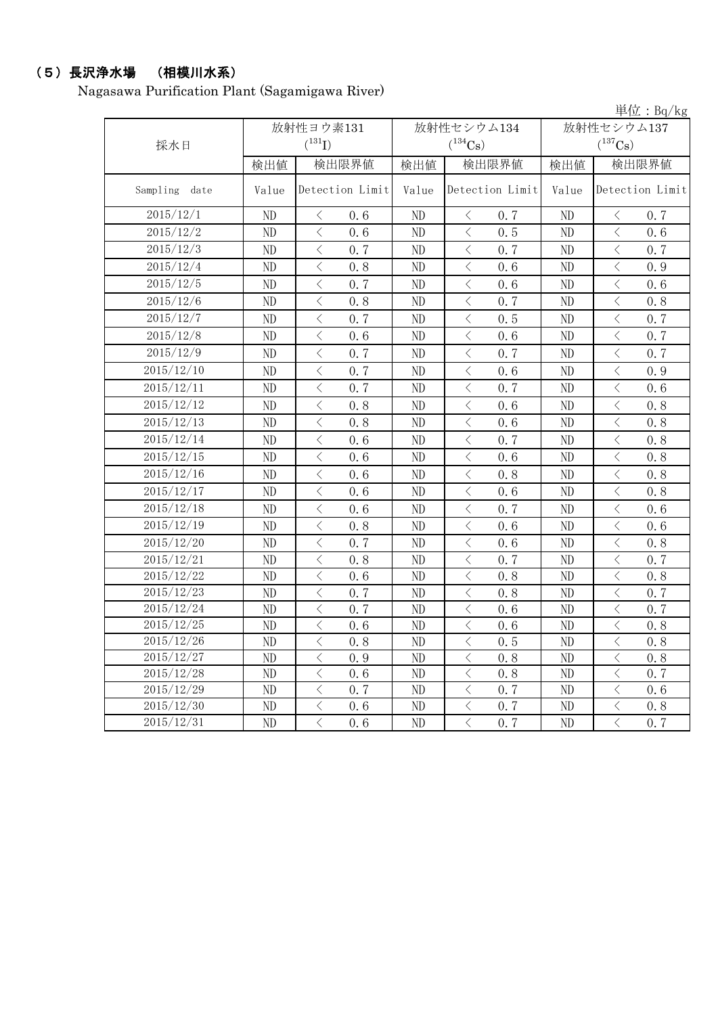#### (5)長沢浄水場 (相模川水系)

Nagasawa Purification Plant (Sagamigawa River)

単位:Bq/kg 検出値 | 検出限直 | 検出限界値 | 検出値 | 検出限界値 Value Detection Limit Value Detection Limit Value ND  $\vert$   $\langle$  0.6  $\vert$  ND  $\vert$   $\langle$  0.7  $\vert$  ND  $\vert$   $\langle$  0.7 ND < 0.6 ND < 0.5 ND < 0.6 ND  $\vert$   $\langle$  0.7  $\vert$  ND  $\vert$   $\langle$  0.7  $\vert$  ND  $\vert$   $\langle$  0.7 ND < 0.8 ND < 0.6 ND < 0.9 ND < 0.7 ND < 0.6 ND < 0.6 ND < 0.8 ND < 0.7 ND < 0.8 ND  $\vert$   $\langle$  0.7  $\vert$  ND  $\vert$   $\langle$  0.5  $\vert$  ND  $\vert$   $\langle$  0.7 ND  $\vert$   $\langle$  0.6  $\vert$  ND  $\vert$   $\langle$  0.6  $\vert$  ND  $\vert$   $\langle$  0.7 ND  $\vert$   $\langle$  0.7  $\vert$  ND  $\vert$   $\langle$  0.7  $\vert$  ND  $\vert$   $\langle$  0.7 ND < 0.7 ND < 0.6 ND < 0.9 ND  $\vert$   $\langle$  0.7  $\vert$  ND  $\vert$   $\langle$  0.7  $\vert$  ND  $\vert$   $\langle$  0.6 ND < 0.8 ND < 0.6 ND < 0.8 ND < 0.8 ND < 0.6 ND < 0.8 ND < 0.6 ND < 0.7 ND < 0.8 ND  $\vert$  < 0.6 | ND  $\vert$  < 0.6 | ND  $\vert$  < 0.8 ND < 0.6 ND < 0.8 ND < 0.8 ND  $\vert$  < 0.6 | ND  $\vert$  < 0.6 | ND  $\vert$  < 0.8 ND  $\vert$  < 0.6 | ND  $\vert$  < 0.7 | ND  $\vert$  < 0.6 ND < 0.8 ND < 0.6 ND < 0.6 ND < 0.7 ND < 0.6 ND < 0.8 ND  $\vert$   $\langle$  0.8  $\vert$  ND  $\vert$   $\langle$  0.7  $\vert$  ND  $\vert$   $\langle$  0.7 ND < 0.6 ND < 0.8 ND < 0.8 ND  $\vert$   $\langle$  0.7  $\vert$  ND  $\vert$   $\langle$  0.8  $\vert$  ND  $\vert$   $\langle$  0.7 ND  $\vert$   $\langle$  0.7  $\vert$  ND  $\vert$   $\langle$  0.6  $\vert$  ND  $\vert$   $\langle$  0.7 ND < 0.6 ND < 0.6 ND < 0.8 ND < 0.8 ND < 0.5 ND < 0.8 ND < 0.9 ND < 0.8 ND < 0.8 ND < 0.6 ND < 0.8 ND < 0.7 ND  $\vert$   $\langle$  0.7  $\vert$  ND  $\vert$   $\langle$  0.7  $\vert$  ND  $\vert$   $\langle$  0.6 ND < 0.6 ND < 0.7 ND < 0.8 ND < 0.6 ND < 0.7 ND < 0.7 2015/12/20 2015/12/3 2015/12/17 2015/12/2 2015/12/1 採水日 放射性ヨウ素131  $(^{131}\text{I})$ 放射性セシウム134  $(^{134}Cs)$ 放射性セシウム137  $(^{137}Cs)$ Sampling date | Value Detection Limit | Value Detection Limit | Value Detection Limit 2015/12/19 2015/12/24 2015/12/11 2015/12/9 2015/12/8 2015/12/4 2015/12/10 2015/12/5 2015/12/6 2015/12/7 2015/12/26 2015/12/27 2015/12/28 2015/12/29 2015/12/31 2015/12/25 2015/12/23 2015/12/22 2015/12/21 2015/12/18 2015/12/16 2015/12/30 2015/12/12 2015/12/13 2015/12/14 2015/12/15